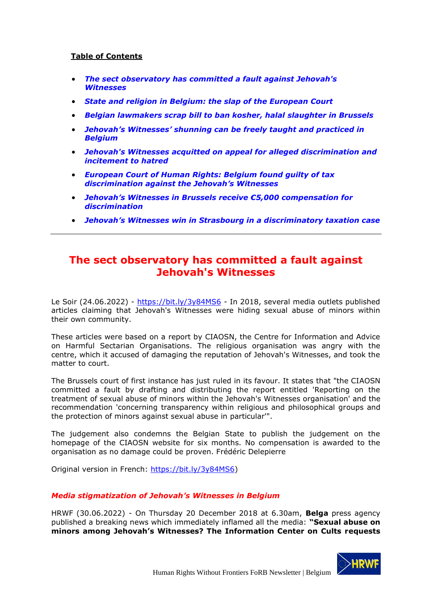## **Table of Contents**

- *[The sect observatory has committed a fault against Jehovah's](#page-0-0)  [Witnesses](#page-0-0)*
- *[State and religion in Belgium: the slap of the European Court](#page-2-0)*
- *[Belgian lawmakers scrap bill to ban kosher, halal](#page-6-0) slaughter in Brussels*
- *Jehovah's Witnesses' [shunning can be freely taught and practiced in](#page-7-0)  [Belgium](#page-7-0)*
- *[Jehovah's Witnesses acquitted on appeal for alleged discrimination](#page-10-0) and [incitement to hatred](#page-10-0)*
- *[European Court of Human Rights: Belgium found guilty of tax](#page-11-0)  [discrimination against the Jehovah's Witnesses](#page-11-0)*
- *Jehova[h's Witnesses in Brussels receive €5,000 compensation for](#page-14-0)  [discrimination](#page-14-0)*
- *[Jehovah's Witnesses win in Strasbourg in a di](#page-15-0)scriminatory taxation case*

## <span id="page-0-0"></span>**The sect observatory has committed a fault against Jehovah's Witnesses**

Le Soir (24.06.2022) - <https://bit.ly/3y84MS6> - In 2018, several media outlets published articles claiming that Jehovah's Witnesses were hiding sexual abuse of minors within their own community.

These articles were based on a report by CIAOSN, the Centre for Information and Advice on Harmful Sectarian Organisations. The religious organisation was angry with the centre, which it accused of damaging the reputation of Jehovah's Witnesses, and took the matter to court.

The Brussels court of first instance has just ruled in its favour. It states that "the CIAOSN committed a fault by drafting and distributing the report entitled 'Reporting on the treatment of sexual abuse of minors within the Jehovah's Witnesses organisation' and the recommendation 'concerning transparency within religious and philosophical groups and the protection of minors against sexual abuse in particular'".

The judgement also condemns the Belgian State to publish the judgement on the homepage of the CIAOSN website for six months. No compensation is awarded to the organisation as no damage could be proven. Frédéric Delepierre

Original version in French: [https://bit.ly/3y84MS6\)](https://bit.ly/3y84MS6)

## *Media stigmatization of Jehovah's Witnesses in Belgium*

HRWF (30.06.2022) - On Thursday 20 December 2018 at 6.30am, **Belga** press agency published a breaking news which immediately inflamed all the media: **"Sexual abuse on minors among Jehovah's Witnesses? The Information Center on Cults requests** 

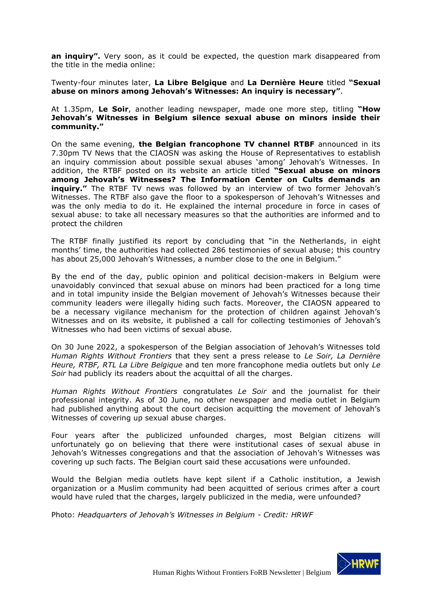an inquiry". Very soon, as it could be expected, the question mark disappeared from the title in the media online:

Twenty-four minutes later, **La Libre Belgique** and **La Dernière Heure** titled **"Sexual abuse on minors among Jehovah's Witnesses: An inquiry is necessary"**.

At 1.35pm, **Le Soir**, another leading newspaper, made one more step, titling **"How Jehovah's Witnesses in Belgium silence sexual abuse on minors inside their community."**

On the same evening, **the Belgian francophone TV channel RTBF** announced in its 7.30pm TV News that the CIAOSN was asking the House of Representatives to establish an inquiry commission about possible sexual abuses 'among' Jehovah's Witnesses. In addition, the RTBF posted on its website an article titled **"Sexual abuse on minors among Jehovah's Witnesses? The Information Center on Cults demands an inquiry."** The RTBF TV news was followed by an interview of two former Jehovah's Witnesses. The RTBF also gave the floor to a spokesperson of Jehovah's Witnesses and was the only media to do it. He explained the internal procedure in force in cases of sexual abuse: to take all necessary measures so that the authorities are informed and to protect the children

The RTBF finally justified its report by concluding that "in the Netherlands, in eight months' time, the authorities had collected 286 testimonies of sexual abuse; this country has about 25,000 Jehovah's Witnesses, a number close to the one in Belgium."

By the end of the day, public opinion and political decision-makers in Belgium were unavoidably convinced that sexual abuse on minors had been practiced for a long time and in total impunity inside the Belgian movement of Jehovah's Witnesses because their community leaders were illegally hiding such facts. Moreover, the CIAOSN appeared to be a necessary vigilance mechanism for the protection of children against Jehovah's Witnesses and on its website, it published a call for collecting testimonies of Jehovah's Witnesses who had been victims of sexual abuse.

On 30 June 2022, a spokesperson of the Belgian association of Jehovah's Witnesses told *Human Rights Without Frontiers* that they sent a press release to *Le Soir, La Dernière Heure, RTBF, RTL La Libre Belgique* and ten more francophone media outlets but only *Le Soir* had publicly its readers about the acquittal of all the charges.

*Human Rights Without Frontiers* congratulates *Le Soir* and the journalist for their professional integrity. As of 30 June, no other newspaper and media outlet in Belgium had published anything about the court decision acquitting the movement of Jehovah's Witnesses of covering up sexual abuse charges.

Four years after the publicized unfounded charges, most Belgian citizens will unfortunately go on believing that there were institutional cases of sexual abuse in Jehovah's Witnesses congregations and that the association of Jehovah's Witnesses was covering up such facts. The Belgian court said these accusations were unfounded.

Would the Belgian media outlets have kept silent if a Catholic institution, a Jewish organization or a Muslim community had been acquitted of serious crimes after a court would have ruled that the charges, largely publicized in the media, were unfounded?

Photo: *Headquarters of Jehovah's Witnesses in Belgium - Credit: HRWF*

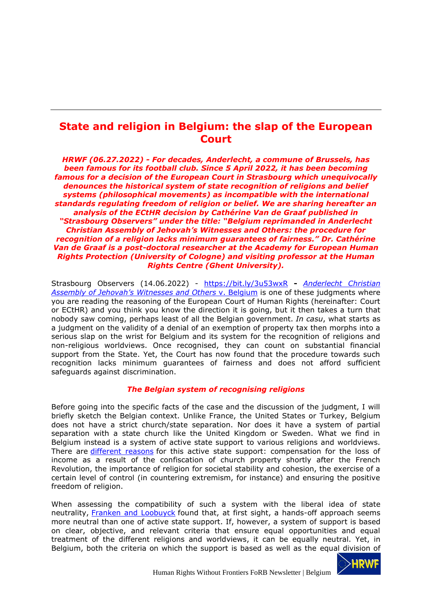## <span id="page-2-0"></span>**State and religion in Belgium: the slap of the European Court**

*HRWF (06.27.2022) - For decades, Anderlecht, a commune of Brussels, has been famous for its football club. Since 5 April 2022, it has been becoming famous for a decision of the European Court in Strasbourg which unequivocally denounces the historical system of state recognition of religions and belief systems (philosophical movements) as incompatible with the international standards regulating freedom of religion or belief. We are sharing hereafter an analysis of the ECtHR decision by Cathérine Van de Graaf published in "Strasbourg Observers" under the title: "Belgium reprimanded in Anderlecht Christian Assembly of Jehovah's Witnesses and Others: the procedure for recognition of a religion lacks minimum guarantees of fairness." Dr. Cathérine Van de Graaf is a post-doctoral researcher at the Academy for European Human Rights Protection (University of Cologne) and visiting professor at the Human Rights Centre (Ghent University).*

Strasbourg Observers (14.06.2022) - <https://bit.ly/3u53wxR> **-** *[Anderlecht](https://hudoc.echr.coe.int/eng#{%22itemid%22:[%22001-216625%22]}) Christian Assembly of Jehovah's [Witnesses](https://hudoc.echr.coe.int/eng#{%22itemid%22:[%22001-216625%22]}) and Others* v. Belgium is one of these judgments where you are reading the reasoning of the European Court of Human Rights (hereinafter: Court or ECtHR) and you think you know the direction it is going, but it then takes a turn that nobody saw coming, perhaps least of all the Belgian government. *In casu*, what starts as a judgment on the validity of a denial of an exemption of property tax then morphs into a serious slap on the wrist for Belgium and its system for the recognition of religions and non-religious worldviews. Once recognised, they can count on substantial financial support from the State. Yet, the Court has now found that the procedure towards such recognition lacks minimum guarantees of fairness and does not afford sufficient safeguards against discrimination.

### *The Belgian system of recognising religions*

Before going into the specific facts of the case and the discussion of the judgment, I will briefly sketch the Belgian context. Unlike France, the United States or Turkey, Belgium does not have a strict church/state separation. Nor does it have a system of partial separation with a state church like the United Kingdom or Sweden. What we find in Belgium instead is a system of active state support to various religions and worldviews. There are [different](https://www.sampol.be/2017/02/naar-een-echte-scheiding-van-kerk-en-staat) reasons for this active state support: compensation for the loss of income as a result of the confiscation of church property shortly after the French Revolution, the importance of religion for societal stability and cohesion, the exercise of a certain level of control (in countering extremism, for instance) and ensuring the positive freedom of religion.

When assessing the compatibility of such a system with the liberal idea of state neutrality, Franken and [Loobuyck](https://academic.oup.com/jcs/article-abstract/55/3/478/798302) found that, at first sight, a hands-off approach seems more neutral than one of active state support. If, however, a system of support is based on clear, objective, and relevant criteria that ensure equal opportunities and equal treatment of the different religions and worldviews, it can be equally neutral. Yet, in Belgium, both the criteria on which the support is based as well as the equal division of

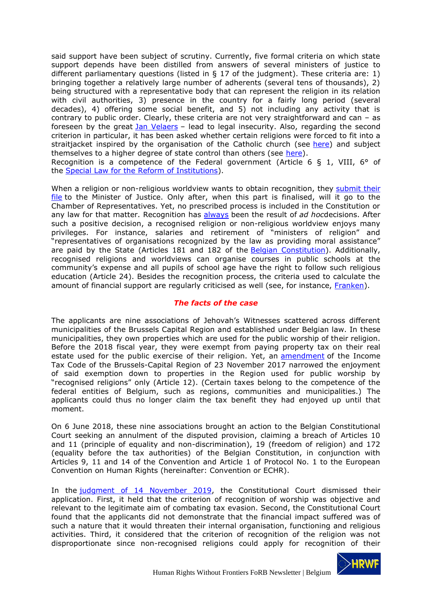said support have been subject of scrutiny. Currently, five formal criteria on which state support depends have been distilled from answers of several ministers of justice to different parliamentary questions (listed in § 17 of the judgment). These criteria are: 1) bringing together a relatively large number of adherents (several tens of thousands), 2) being structured with a representative body that can represent the religion in its relation with civil authorities, 3) presence in the country for a fairly long period (several decades), 4) offering some social benefit, and 5) not including any activity that is contrary to public order. Clearly, these criteria are not very straightforward and can – as foreseen by the great **Jan [Velaers](https://www.jurisquare.be/fr/book/9789048635276/index.html;jsessionid=C9CB57226ADC33DA7FEE433B2CCA6AE2)** - lead to legal insecurity. Also, regarding the second criterion in particular, it has been asked whether certain religions were forced to fit into a straitjacket inspired by the organisation of the Catholic church (see [here\)](https://biblio.ugent.be/publication/683366) and subject themselves to a higher degree of state control than others (see [here\)](https://www.academia.edu/download/48074391/j.1478-1913.2002.tb03734.x20160815-31376-1mwyplm.pdf). Recognition is a competence of the Federal government (Article 6 § 1, VIII, 6° of

the Special Law for the Reform of [Institutions\)](https://codex.vlaanderen.be/Portals/Codex/documenten/1004736.html#H1008798).

When a religion or non-religious worldview wants to obtain recognition, they [submit](https://justitie.belgium.be/nl/themas_en_dossiers/erediensten_en_vrijzinnigheid/erkenning/procedure) their [file](https://justitie.belgium.be/nl/themas_en_dossiers/erediensten_en_vrijzinnigheid/erkenning/procedure) to the Minister of Justice. Only after, when this part is finalised, will it go to the Chamber of Representatives. Yet, no prescribed process is included in the Constitution or any law for that matter. Recognition has [always](https://www.jurisquare.be/fr/book/9789048635276/index.html;jsessionid=C9CB57226ADC33DA7FEE433B2CCA6AE2) been the result of *ad hoc*decisions. After such a positive decision, a recognised religion or non-religious worldview enjoys many privileges. For instance, salaries and retirement of "ministers of religion" and "representatives of organisations recognized by the law as providing moral assistance" are paid by the State (Articles 181 and 182 of the Belgian [Constitution\)](https://www.senate.be/doc/const_nl.html). Additionally, recognised religions and worldviews can organise courses in public schools at the community's expense and all pupils of school age have the right to follow such religious education (Article 24). Besides the recognition process, the criteria used to calculate the amount of financial support are regularly criticised as well (see, for instance, [Franken\)](https://academic.oup.com/jcs/article-abstract/59/1/59/2805462?redirectedFrom=PDF).

### *The facts of the case*

The applicants are nine associations of Jehovah's Witnesses scattered across different municipalities of the Brussels Capital Region and established under Belgian law. In these municipalities, they own properties which are used for the public worship of their religion. Before the 2018 fiscal year, they were exempt from paying property tax on their real estate used for the public exercise of their religion. Yet, an [amendment](https://etaamb.openjustice.be/nl/beschikking-van-23-november-2017_n2017031630.html) of the Income Tax Code of the Brussels-Capital Region of 23 November 2017 narrowed the enjoyment of said exemption down to properties in the Region used for public worship by "recognised religions" only (Article 12). (Certain taxes belong to the competence of the federal entities of Belgium, such as regions, communities and municipalities.) The applicants could thus no longer claim the tax benefit they had enjoyed up until that moment.

On 6 June 2018, these nine associations brought an action to the Belgian Constitutional Court seeking an annulment of the disputed provision, claiming a breach of Articles 10 and 11 (principle of equality and non-discrimination), 19 (freedom of religion) and 172 (equality before the tax authorities) of the Belgian Constitution, in conjunction with Articles 9, 11 and 14 of the Convention and Article 1 of Protocol No. 1 to the European Convention on Human Rights (hereinafter: Convention or ECHR).

In the judgment of 14 [November](https://www.const-court.be/public/n/2019/2019-178n.pdf) 2019, the Constitutional Court dismissed their application. First, it held that the criterion of recognition of worship was objective and relevant to the legitimate aim of combating tax evasion. Second, the Constitutional Court found that the applicants did not demonstrate that the financial impact suffered was of such a nature that it would threaten their internal organisation, functioning and religious activities. Third, it considered that the criterion of recognition of the religion was not disproportionate since non-recognised religions could apply for recognition of their

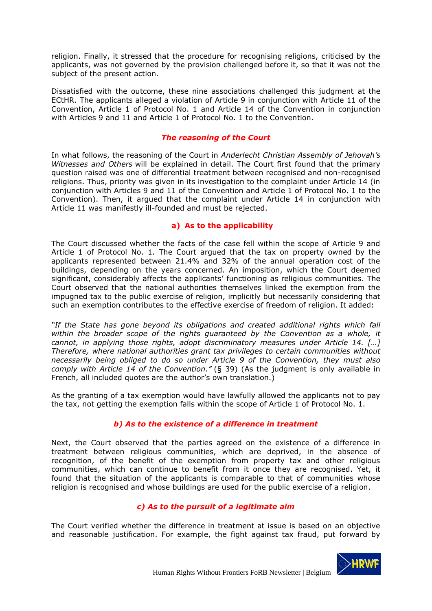religion. Finally, it stressed that the procedure for recognising religions, criticised by the applicants, was not governed by the provision challenged before it, so that it was not the subject of the present action.

Dissatisfied with the outcome, these nine associations challenged this judgment at the ECtHR. The applicants alleged a violation of Article 9 in conjunction with Article 11 of the Convention, Article 1 of Protocol No. 1 and Article 14 of the Convention in conjunction with Articles 9 and 11 and Article 1 of Protocol No. 1 to the Convention.

### *The reasoning of the Court*

In what follows, the reasoning of the Court in *Anderlecht Christian Assembly of Jehovah's Witnesses and Others* will be explained in detail. The Court first found that the primary question raised was one of differential treatment between recognised and non-recognised religions. Thus, priority was given in its investigation to the complaint under Article 14 (in conjunction with Articles 9 and 11 of the Convention and Article 1 of Protocol No. 1 to the Convention). Then, it argued that the complaint under Article 14 in conjunction with Article 11 was manifestly ill-founded and must be rejected.

## **a) As to the applicability**

The Court discussed whether the facts of the case fell within the scope of Article 9 and Article 1 of Protocol No. 1. The Court argued that the tax on property owned by the applicants represented between 21.4% and 32% of the annual operation cost of the buildings, depending on the years concerned. An imposition, which the Court deemed significant, considerably affects the applicants' functioning as religious communities. The Court observed that the national authorities themselves linked the exemption from the impugned tax to the public exercise of religion, implicitly but necessarily considering that such an exemption contributes to the effective exercise of freedom of religion. It added:

*"If the State has gone beyond its obligations and created additional rights which fall within the broader scope of the rights guaranteed by the Convention as a whole, it cannot, in applying those rights, adopt discriminatory measures under Article 14. […] Therefore, where national authorities grant tax privileges to certain communities without necessarily being obliged to do so under Article 9 of the Convention, they must also comply with Article 14 of the Convention."* (§ 39) (As the judgment is only available in French, all included quotes are the author's own translation.)

As the granting of a tax exemption would have lawfully allowed the applicants not to pay the tax, not getting the exemption falls within the scope of Article 1 of Protocol No. 1.

## *b) As to the existence of a difference in treatment*

Next, the Court observed that the parties agreed on the existence of a difference in treatment between religious communities, which are deprived, in the absence of recognition, of the benefit of the exemption from property tax and other religious communities, which can continue to benefit from it once they are recognised. Yet, it found that the situation of the applicants is comparable to that of communities whose religion is recognised and whose buildings are used for the public exercise of a religion.

## *c) As to the pursuit of a legitimate aim*

The Court verified whether the difference in treatment at issue is based on an objective and reasonable justification. For example, the fight against tax fraud, put forward by

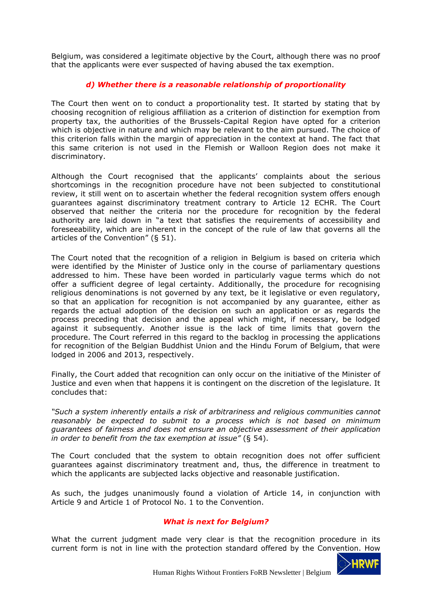Belgium, was considered a legitimate objective by the Court, although there was no proof that the applicants were ever suspected of having abused the tax exemption.

## *d) Whether there is a reasonable relationship of proportionality*

The Court then went on to conduct a proportionality test. It started by stating that by choosing recognition of religious affiliation as a criterion of distinction for exemption from property tax, the authorities of the Brussels-Capital Region have opted for a criterion which is objective in nature and which may be relevant to the aim pursued. The choice of this criterion falls within the margin of appreciation in the context at hand. The fact that this same criterion is not used in the Flemish or Walloon Region does not make it discriminatory.

Although the Court recognised that the applicants' complaints about the serious shortcomings in the recognition procedure have not been subjected to constitutional review, it still went on to ascertain whether the federal recognition system offers enough guarantees against discriminatory treatment contrary to Article 12 ECHR. The Court observed that neither the criteria nor the procedure for recognition by the federal authority are laid down in "a text that satisfies the requirements of accessibility and foreseeability, which are inherent in the concept of the rule of law that governs all the articles of the Convention" (§ 51).

The Court noted that the recognition of a religion in Belgium is based on criteria which were identified by the Minister of Justice only in the course of parliamentary questions addressed to him. These have been worded in particularly vague terms which do not offer a sufficient degree of legal certainty. Additionally, the procedure for recognising religious denominations is not governed by any text, be it legislative or even regulatory, so that an application for recognition is not accompanied by any guarantee, either as regards the actual adoption of the decision on such an application or as regards the process preceding that decision and the appeal which might, if necessary, be lodged against it subsequently. Another issue is the lack of time limits that govern the procedure. The Court referred in this regard to the backlog in processing the applications for recognition of the Belgian Buddhist Union and the Hindu Forum of Belgium, that were lodged in 2006 and 2013, respectively.

Finally, the Court added that recognition can only occur on the initiative of the Minister of Justice and even when that happens it is contingent on the discretion of the legislature. It concludes that:

*"Such a system inherently entails a risk of arbitrariness and religious communities cannot reasonably be expected to submit to a process which is not based on minimum guarantees of fairness and does not ensure an objective assessment of their application in order to benefit from the tax exemption at issue"* (§ 54).

The Court concluded that the system to obtain recognition does not offer sufficient guarantees against discriminatory treatment and, thus, the difference in treatment to which the applicants are subjected lacks objective and reasonable justification.

As such, the judges unanimously found a violation of Article 14, in conjunction with Article 9 and Article 1 of Protocol No. 1 to the Convention.

#### *What is next for Belgium?*

What the current judgment made very clear is that the recognition procedure in its current form is not in line with the protection standard offered by the Convention. How

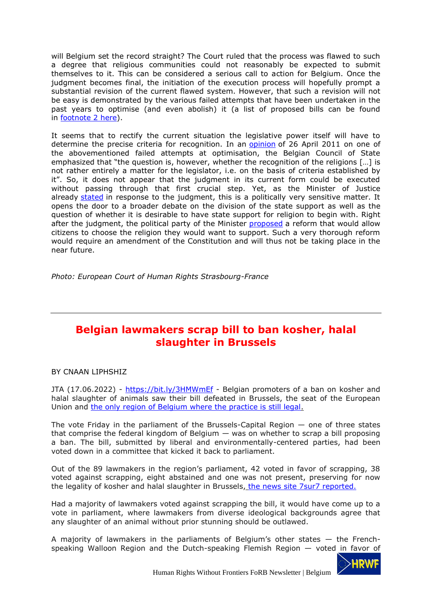will Belgium set the record straight? The Court ruled that the process was flawed to such a degree that religious communities could not reasonably be expected to submit themselves to it. This can be considered a serious call to action for Belgium. Once the judgment becomes final, the initiation of the execution process will hopefully prompt a substantial revision of the current flawed system. However, that such a revision will not be easy is demonstrated by the various failed attempts that have been undertaken in the past years to optimise (and even abolish) it (a list of proposed bills can be found in [footnote](https://www.sampol.be/2017/02/naar-een-echte-scheiding-van-kerk-en-staat) 2 here).

It seems that to rectify the current situation the legislative power itself will have to determine the precise criteria for recognition. In an [opinion](http://www.raadvst-consetat.be/dbx/adviezen/49285.pdf#search=49.285) of 26 April 2011 on one of the abovementioned failed attempts at optimisation, the Belgian Council of State emphasized that "the question is, however, whether the recognition of the religions […] is not rather entirely a matter for the legislator, i.e. on the basis of criteria established by it". So, it does not appear that the judgment in its current form could be executed without passing through that first crucial step. Yet, as the Minister of Justice already [stated](https://www.standaard.be/cnt/dmf20220406_94438876) in response to the judgment, this is a politically very sensitive matter. It opens the door to a broader debate on the division of the state support as well as the question of whether it is desirable to have state support for religion to begin with. Right after the judgment, the political party of the Minister [proposed](https://www.openvld.be/open_vld_wil_burgers_zelf_laten_kiezen_of_ze_nog_aan_religies_belasting_betalen) a reform that would allow citizens to choose the religion they would want to support. Such a very thorough reform would require an amendment of the Constitution and will thus not be taking place in the near future.

*Photo: European Court of Human Rights Strasbourg-France*

## <span id="page-6-0"></span>**Belgian lawmakers scrap bill to ban kosher, halal slaughter in Brussels**

## BY CNAAN LIPHSHIZ

JTA (17.06.2022) - <https://bit.ly/3HMWmEf> - Belgian promoters of a ban on kosher and halal slaughter of animals saw their bill defeated in Brussels, the seat of the European Union and [the only region of Belgium where the practice is still legal.](https://www.jta.org/2019/01/04/global/in-belgiums-ritual-slaughter-ban-some-jews-see-sign-theyre-unwelcome)

The vote Friday in the parliament of the Brussels-Capital Region  $-$  one of three states that comprise the federal kingdom of Belgium — was on whether to scrap a bill proposing a ban. The bill, submitted by liberal and environmentally-centered parties, had been voted down in a committee that kicked it back to parliament.

Out of the 89 lawmakers in the region's parliament, 42 voted in favor of scrapping, 38 voted against scrapping, eight abstained and one was not present, preserving for now the legality of kosher and halal slaughter in Brussels, [the news site 7sur7 reported.](https://www.7sur7.be/belgique/le-parlement-bruxellois-rejette-l-interdiction-de-l-abattage-sans-etourdissement~af3e8e82/?referrer=https%3A%2F%2Fwww.google.com%2F)

Had a majority of lawmakers voted against scrapping the bill, it would have come up to a vote in parliament, where lawmakers from diverse ideological backgrounds agree that any slaughter of an animal without prior stunning should be outlawed.

A majority of lawmakers in the parliaments of Belgium's other states  $-$  the Frenchspeaking Walloon Region and the Dutch-speaking Flemish Region — voted in favor of

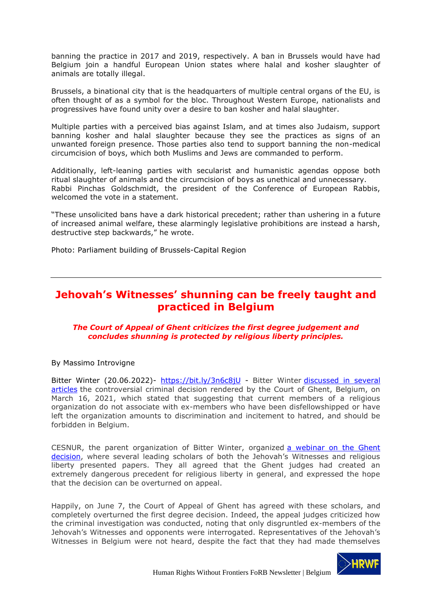banning the practice in 2017 and 2019, respectively. A ban in Brussels would have had Belgium join a handful European Union states where halal and kosher slaughter of animals are totally illegal.

Brussels, a binational city that is the headquarters of multiple central organs of the EU, is often thought of as a symbol for the bloc. Throughout Western Europe, nationalists and progressives have found unity over a desire to ban kosher and halal slaughter.

Multiple parties with a perceived bias against Islam, and at times also Judaism, support banning kosher and halal slaughter because they see the practices as signs of an unwanted foreign presence. Those parties also tend to support banning the non-medical circumcision of boys, which both Muslims and Jews are commanded to perform.

Additionally, left-leaning parties with secularist and humanistic agendas oppose both ritual slaughter of animals and the circumcision of boys as unethical and unnecessary. Rabbi Pinchas Goldschmidt, the president of the Conference of European Rabbis, welcomed the vote in a statement.

"These unsolicited bans have a dark historical precedent; rather than ushering in a future of increased animal welfare, these alarmingly legislative prohibitions are instead a harsh, destructive step backwards," he wrote.

Photo: Parliament building of Brussels-Capital Region

## <span id="page-7-0"></span>**Jehovah's Witnesses' shunning can be freely taught and practiced in Belgium**

### *The Court of Appeal of Ghent criticizes the first degree judgement and concludes shunning is protected by religious liberty principles.*

By Massimo Introvigne

Bitter Winter (20.06.2022)- <https://bit.ly/3n6c8jU> - Bitter Winter [discussed in several](https://bitterwinter.org/the-ghent-jehovahs-witness-decision-dangerous-for-all-religions/)  [articles](https://bitterwinter.org/the-ghent-jehovahs-witness-decision-dangerous-for-all-religions/) the controversial criminal decision rendered by the Court of Ghent, Belgium, on March 16, 2021, which stated that suggesting that current members of a religious organization do not associate with ex-members who have been disfellowshipped or have left the organization amounts to discrimination and incitement to hatred, and should be forbidden in Belgium.

CESNUR, the parent organization of Bitter Winter, organized [a webinar on the Ghent](https://youtu.be/sMoMpgLXLiU)  [decision,](https://youtu.be/sMoMpgLXLiU) where several leading scholars of both the Jehovah's Witnesses and religious liberty presented papers. They all agreed that the Ghent judges had created an extremely dangerous precedent for religious liberty in general, and expressed the hope that the decision can be overturned on appeal.

Happily, on June 7, the Court of Appeal of Ghent has agreed with these scholars, and completely overturned the first degree decision. Indeed, the appeal judges criticized how the criminal investigation was conducted, noting that only disgruntled ex-members of the Jehovah's Witnesses and opponents were interrogated. Representatives of the Jehovah's Witnesses in Belgium were not heard, despite the fact that they had made themselves

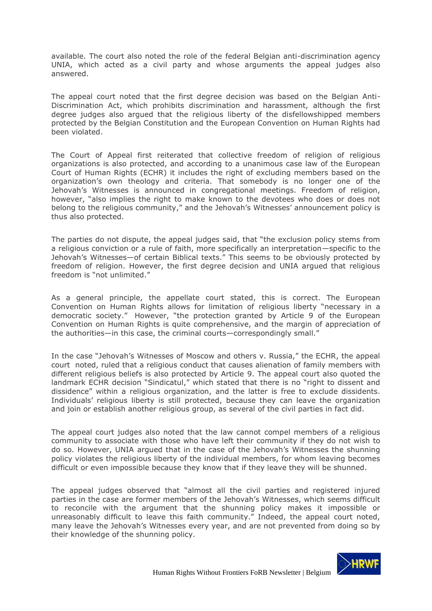available. The court also noted the role of the federal Belgian anti-discrimination agency UNIA, which acted as a civil party and whose arguments the appeal judges also answered.

The appeal court noted that the first degree decision was based on the Belgian Anti-Discrimination Act, which prohibits discrimination and harassment, although the first degree judges also argued that the religious liberty of the disfellowshipped members protected by the Belgian Constitution and the European Convention on Human Rights had been violated.

The Court of Appeal first reiterated that collective freedom of religion of religious organizations is also protected, and according to a unanimous case law of the European Court of Human Rights (ECHR) it includes the right of excluding members based on the organization's own theology and criteria. That somebody is no longer one of the Jehovah's Witnesses is announced in congregational meetings. Freedom of religion, however, "also implies the right to make known to the devotees who does or does not belong to the religious community," and the Jehovah's Witnesses' announcement policy is thus also protected.

The parties do not dispute, the appeal judges said, that "the exclusion policy stems from a religious conviction or a rule of faith, more specifically an interpretation—specific to the Jehovah's Witnesses—of certain Biblical texts." This seems to be obviously protected by freedom of religion. However, the first degree decision and UNIA argued that religious freedom is "not unlimited."

As a general principle, the appellate court stated, this is correct. The European Convention on Human Rights allows for limitation of religious liberty "necessary in a democratic society." However, "the protection granted by Article 9 of the European Convention on Human Rights is quite comprehensive, and the margin of appreciation of the authorities—in this case, the criminal courts—correspondingly small."

In the case "Jehovah's Witnesses of Moscow and others v. Russia," the ECHR, the appeal court noted, ruled that a religious conduct that causes alienation of family members with different religious beliefs is also protected by Article 9. The appeal court also quoted the landmark ECHR decision "Sindicatul," which stated that there is no "right to dissent and dissidence" within a religious organization, and the latter is free to exclude dissidents. Individuals' religious liberty is still protected, because they can leave the organization and join or establish another religious group, as several of the civil parties in fact did.

The appeal court judges also noted that the law cannot compel members of a religious community to associate with those who have left their community if they do not wish to do so. However, UNIA argued that in the case of the Jehovah's Witnesses the shunning policy violates the religious liberty of the individual members, for whom leaving becomes difficult or even impossible because they know that if they leave they will be shunned.

The appeal judges observed that "almost all the civil parties and registered injured parties in the case are former members of the Jehovah's Witnesses, which seems difficult to reconcile with the argument that the shunning policy makes it impossible or unreasonably difficult to leave this faith community." Indeed, the appeal court noted, many leave the Jehovah's Witnesses every year, and are not prevented from doing so by their knowledge of the shunning policy.

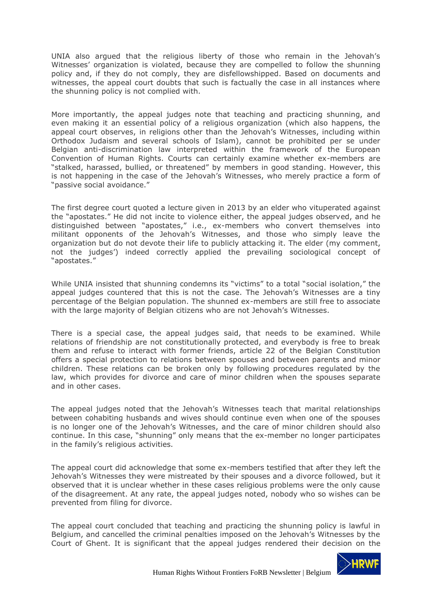UNIA also argued that the religious liberty of those who remain in the Jehovah's Witnesses' organization is violated, because they are compelled to follow the shunning policy and, if they do not comply, they are disfellowshipped. Based on documents and witnesses, the appeal court doubts that such is factually the case in all instances where the shunning policy is not complied with.

More importantly, the appeal judges note that teaching and practicing shunning, and even making it an essential policy of a religious organization (which also happens, the appeal court observes, in religions other than the Jehovah's Witnesses, including within Orthodox Judaism and several schools of Islam), cannot be prohibited per se under Belgian anti-discrimination law interpreted within the framework of the European Convention of Human Rights. Courts can certainly examine whether ex-members are "stalked, harassed, bullied, or threatened" by members in good standing. However, this is not happening in the case of the Jehovah's Witnesses, who merely practice a form of "passive social avoidance."

The first degree court quoted a lecture given in 2013 by an elder who vituperated against the "apostates." He did not incite to violence either, the appeal judges observed, and he distinguished between "apostates," i.e., ex-members who convert themselves into militant opponents of the Jehovah's Witnesses, and those who simply leave the organization but do not devote their life to publicly attacking it. The elder (my comment, not the judges') indeed correctly applied the prevailing sociological concept of "apostates."

While UNIA insisted that shunning condemns its "victims" to a total "social isolation," the appeal judges countered that this is not the case. The Jehovah's Witnesses are a tiny percentage of the Belgian population. The shunned ex-members are still free to associate with the large majority of Belgian citizens who are not Jehovah's Witnesses.

There is a special case, the appeal judges said, that needs to be examined. While relations of friendship are not constitutionally protected, and everybody is free to break them and refuse to interact with former friends, article 22 of the Belgian Constitution offers a special protection to relations between spouses and between parents and minor children. These relations can be broken only by following procedures regulated by the law, which provides for divorce and care of minor children when the spouses separate and in other cases.

The appeal judges noted that the Jehovah's Witnesses teach that marital relationships between cohabiting husbands and wives should continue even when one of the spouses is no longer one of the Jehovah's Witnesses, and the care of minor children should also continue. In this case, "shunning" only means that the ex-member no longer participates in the family's religious activities.

The appeal court did acknowledge that some ex-members testified that after they left the Jehovah's Witnesses they were mistreated by their spouses and a divorce followed, but it observed that it is unclear whether in these cases religious problems were the only cause of the disagreement. At any rate, the appeal judges noted, nobody who so wishes can be prevented from filing for divorce.

The appeal court concluded that teaching and practicing the shunning policy is lawful in Belgium, and cancelled the criminal penalties imposed on the Jehovah's Witnesses by the Court of Ghent. It is significant that the appeal judges rendered their decision on the

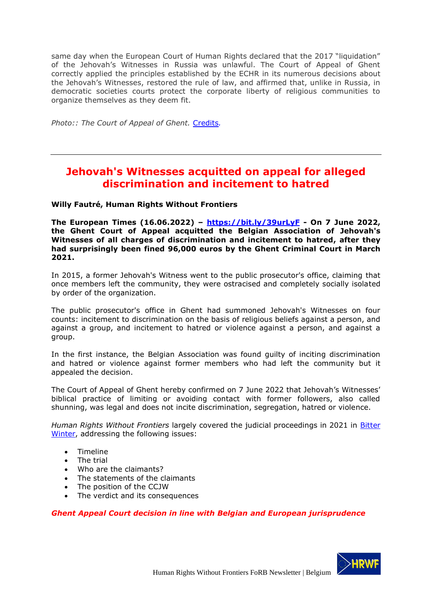same day when the European Court of Human Rights declared that the 2017 "liquidation" of the Jehovah's Witnesses in Russia was unlawful. The Court of Appeal of Ghent correctly applied the principles established by the ECHR in its numerous decisions about the Jehovah's Witnesses, restored the rule of law, and affirmed that, unlike in Russia, in democratic societies courts protect the corporate liberty of religious communities to organize themselves as they deem fit.

*Photo:: The Court of Appeal of Ghent.* [Credits](https://commons.m.wikimedia.org/wiki/File:Gent-Oud_Gerechtsgebouw_(1).JPG#mw-jump-to-license)*.*

# <span id="page-10-0"></span>**Jehovah's Witnesses acquitted on appeal for alleged discrimination and incitement to hatred**

### **Willy Fautré, Human Rights Without Frontiers**

**The European Times (16.06.2022) – <https://bit.ly/39urLyF> - On 7 June 2022, the Ghent Court of Appeal acquitted the Belgian Association of Jehovah's Witnesses of all charges of discrimination and incitement to hatred, after they had surprisingly been fined 96,000 euros by the Ghent Criminal Court in March 2021.** 

In 2015, a former Jehovah's Witness went to the public prosecutor's office, claiming that once members left the community, they were ostracised and completely socially isolated by order of the organization.

The public prosecutor's office in Ghent had summoned Jehovah's Witnesses on four counts: incitement to discrimination on the basis of religious beliefs against a person, and against a group, and incitement to hatred or violence against a person, and against a group.

In the first instance, the Belgian Association was found guilty of inciting discrimination and hatred or violence against former members who had left the community but it appealed the decision.

The Court of Appeal of Ghent hereby confirmed on 7 June 2022 that Jehovah's Witnesses' biblical practice of limiting or avoiding contact with former followers, also called shunning, was legal and does not incite discrimination, segregation, hatred or violence.

*Human Rights Without Frontiers* largely covered the judicial proceedings in 2021 in [Bitter](https://bitterwinter.org/the-ghent-case-against-the-jehovahs-witnesses-a-chronology/#The_trial)  [Winter,](https://bitterwinter.org/the-ghent-case-against-the-jehovahs-witnesses-a-chronology/#The_trial) addressing the following issues:

- Timeline
- The trial
- Who are the claimants?
- The statements of the claimants
- The position of the CCJW
- The verdict and its consequences

## *Ghent Appeal Court decision in line with Belgian and European jurisprudence*

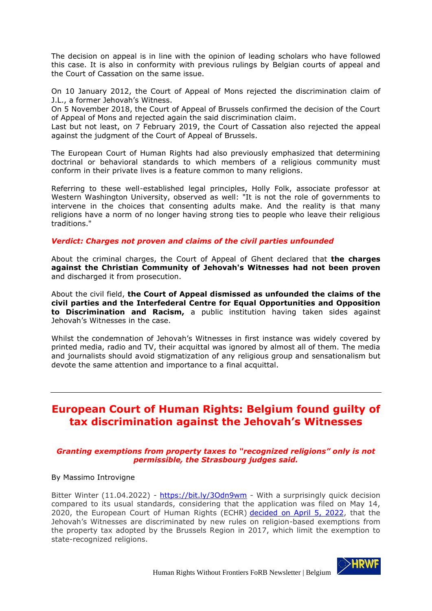The decision on appeal is in line with the opinion of leading scholars who have followed this case. It is also in conformity with previous rulings by Belgian courts of appeal and the Court of Cassation on the same issue.

On 10 January 2012, the Court of Appeal of Mons rejected the discrimination claim of J.L., a former Jehovah's Witness.

On 5 November 2018, the Court of Appeal of Brussels confirmed the decision of the Court of Appeal of Mons and rejected again the said discrimination claim.

Last but not least, on 7 February 2019, the Court of Cassation also rejected the appeal against the judgment of the Court of Appeal of Brussels.

The European Court of Human Rights had also previously emphasized that determining doctrinal or behavioral standards to which members of a religious community must conform in their private lives is a feature common to many religions.

Referring to these well-established legal principles, Holly Folk, associate professor at Western Washington University, observed as well: "It is not the role of governments to intervene in the choices that consenting adults make. And the reality is that many religions have a norm of no longer having strong ties to people who leave their religious traditions."

### *Verdict: Charges not proven and claims of the civil parties unfounded*

About the criminal charges, the Court of Appeal of Ghent declared that **the charges against the Christian Community of Jehovah's Witnesses had not been proven** and discharged it from prosecution.

About the civil field, **the Court of Appeal dismissed as unfounded the claims of the civil parties and the Interfederal Centre for Equal Opportunities and Opposition to Discrimination and Racism,** a public institution having taken sides against Jehovah's Witnesses in the case.

Whilst the condemnation of Jehovah's Witnesses in first instance was widely covered by printed media, radio and TV, their acquittal was ignored by almost all of them. The media and journalists should avoid stigmatization of any religious group and sensationalism but devote the same attention and importance to a final acquittal.

# <span id="page-11-0"></span>**European Court of Human Rights: Belgium found guilty of tax discrimination against the Jehovah's Witnesses**

### *Granting exemptions from property taxes to "recognized religions" only is not permissible, the Strasbourg judges said.*

#### By Massimo Introvigne

Bitter Winter (11.04.2022) - <https://bit.ly/3Odn9wm> - With a surprisingly quick decision compared to its usual standards, considering that the application was filed on May 14, 2020, the European Court of Human Rights (ECHR) [decided on April 5, 2022,](https://hudoc.echr.coe.int/eng#%7B%22itemid%22:[%22001-216625%22]%7D) that the Jehovah's Witnesses are discriminated by new rules on religion-based exemptions from the property tax adopted by the Brussels Region in 2017, which limit the exemption to state-recognized religions.

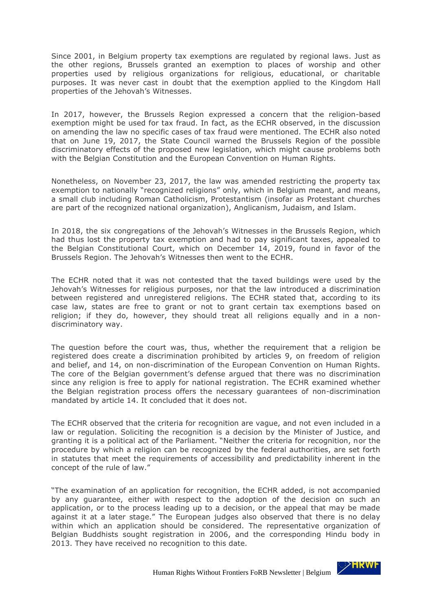Since 2001, in Belgium property tax exemptions are regulated by regional laws. Just as the other regions, Brussels granted an exemption to places of worship and other properties used by religious organizations for religious, educational, or charitable purposes. It was never cast in doubt that the exemption applied to the Kingdom Hall properties of the Jehovah's Witnesses.

In 2017, however, the Brussels Region expressed a concern that the religion-based exemption might be used for tax fraud. In fact, as the ECHR observed, in the discussion on amending the law no specific cases of tax fraud were mentioned. The ECHR also noted that on June 19, 2017, the State Council warned the Brussels Region of the possible discriminatory effects of the proposed new legislation, which might cause problems both with the Belgian Constitution and the European Convention on Human Rights.

Nonetheless, on November 23, 2017, the law was amended restricting the property tax exemption to nationally "recognized religions" only, which in Belgium meant, and means, a small club including Roman Catholicism, Protestantism (insofar as Protestant churches are part of the recognized national organization), Anglicanism, Judaism, and Islam.

In 2018, the six congregations of the Jehovah's Witnesses in the Brussels Region, which had thus lost the property tax exemption and had to pay significant taxes, appealed to the Belgian Constitutional Court, which on December 14, 2019, found in favor of the Brussels Region. The Jehovah's Witnesses then went to the ECHR.

The ECHR noted that it was not contested that the taxed buildings were used by the Jehovah's Witnesses for religious purposes, nor that the law introduced a discrimination between registered and unregistered religions. The ECHR stated that, according to its case law, states are free to grant or not to grant certain tax exemptions based on religion; if they do, however, they should treat all religions equally and in a nondiscriminatory way.

The question before the court was, thus, whether the requirement that a religion be registered does create a discrimination prohibited by articles 9, on freedom of religion and belief, and 14, on non-discrimination of the European Convention on Human Rights. The core of the Belgian government's defense argued that there was no discrimination since any religion is free to apply for national registration. The ECHR examined whether the Belgian registration process offers the necessary guarantees of non-discrimination mandated by article 14. It concluded that it does not.

The ECHR observed that the criteria for recognition are vague, and not even included in a law or regulation. Soliciting the recognition is a decision by the Minister of Justice, and granting it is a political act of the Parliament. "Neither the criteria for recognition, nor the procedure by which a religion can be recognized by the federal authorities, are set forth in statutes that meet the requirements of accessibility and predictability inherent in the concept of the rule of law."

"The examination of an application for recognition, the ECHR added, is not accompanied by any guarantee, either with respect to the adoption of the decision on such an application, or to the process leading up to a decision, or the appeal that may be made against it at a later stage." The European judges also observed that there is no delay within which an application should be considered. The representative organization of Belgian Buddhists sought registration in 2006, and the corresponding Hindu body in 2013. They have received no recognition to this date.

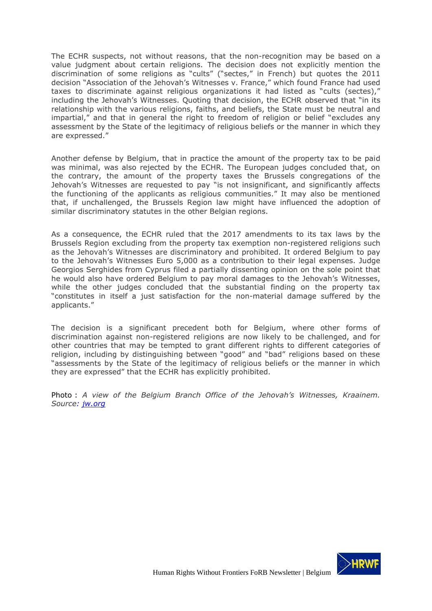The ECHR suspects, not without reasons, that the non-recognition may be based on a value judgment about certain religions. The decision does not explicitly mention the discrimination of some religions as "cults" ("sectes," in French) but quotes the 2011 decision "Association of the Jehovah's Witnesses v. France," which found France had used taxes to discriminate against religious organizations it had listed as "cults (sectes)," including the Jehovah's Witnesses. Quoting that decision, the ECHR observed that "in its relationship with the various religions, faiths, and beliefs, the State must be neutral and impartial," and that in general the right to freedom of religion or belief "excludes any assessment by the State of the legitimacy of religious beliefs or the manner in which they are expressed."

Another defense by Belgium, that in practice the amount of the property tax to be paid was minimal, was also rejected by the ECHR. The European judges concluded that, on the contrary, the amount of the property taxes the Brussels congregations of the Jehovah's Witnesses are requested to pay "is not insignificant, and significantly affects the functioning of the applicants as religious communities." It may also be mentioned that, if unchallenged, the Brussels Region law might have influenced the adoption of similar discriminatory statutes in the other Belgian regions.

As a consequence, the ECHR ruled that the 2017 amendments to its tax laws by the Brussels Region excluding from the property tax exemption non-registered religions such as the Jehovah's Witnesses are discriminatory and prohibited. It ordered Belgium to pay to the Jehovah's Witnesses Euro 5,000 as a contribution to their legal expenses. Judge Georgios Serghides from Cyprus filed a partially dissenting opinion on the sole point that he would also have ordered Belgium to pay moral damages to the Jehovah's Witnesses, while the other judges concluded that the substantial finding on the property tax "constitutes in itself a just satisfaction for the non-material damage suffered by the applicants."

The decision is a significant precedent both for Belgium, where other forms of discrimination against non-registered religions are now likely to be challenged, and for other countries that may be tempted to grant different rights to different categories of religion, including by distinguishing between "good" and "bad" religions based on these "assessments by the State of the legitimacy of religious beliefs or the manner in which they are expressed" that the ECHR has explicitly prohibited.

Photo : *A view of the Belgium Branch Office of the Jehovah's Witnesses, Kraainem. Source: [jw.org](https://www.jw.org/en/jehovahs-witnesses/bethel-tours/belgium/)*

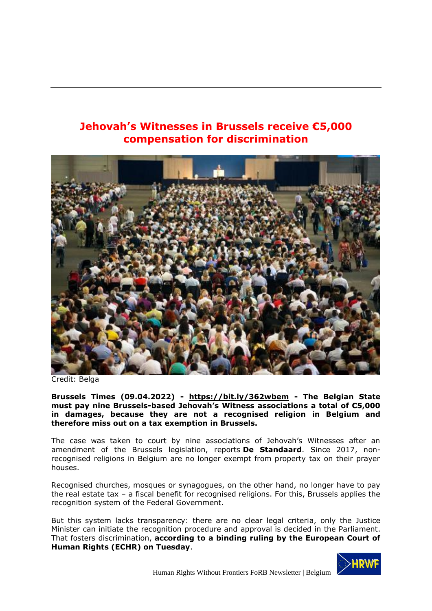# <span id="page-14-0"></span>**Jehovah's Witnesses in Brussels receive €5,000 compensation for discrimination**



Credit: Belga

**Brussels Times (09.04.2022) - <https://bit.ly/362wbem> - The Belgian State must pay nine Brussels-based Jehovah's Witness associations a total of €5,000 in damages, because they are not a recognised religion in Belgium and therefore miss out on a tax exemption in Brussels.**

The case was taken to court by nine associations of Jehovah's Witnesses after an amendment of the Brussels legislation, reports **[De Standaard](https://www.standaard.be/cnt/dmf20220406_94438876)**. Since 2017, nonrecognised religions in Belgium are no longer exempt from property tax on their prayer houses.

Recognised churches, mosques or synagogues, on the other hand, no longer have to pay the real estate tax – a fiscal benefit for recognised religions. For this, Brussels applies the recognition system of the Federal Government.

But this system lacks transparency: there are no clear legal criteria, only the Justice Minister can initiate the recognition procedure and approval is decided in the Parliament. That fosters discrimination, **[according to a binding ruling by the European Court of](https://hudoc.echr.coe.int/eng#{%22itemid%22:[%22001-216625%22]})  [Human Rights \(ECHR\) on Tuesday](https://hudoc.echr.coe.int/eng#{%22itemid%22:[%22001-216625%22]})**.

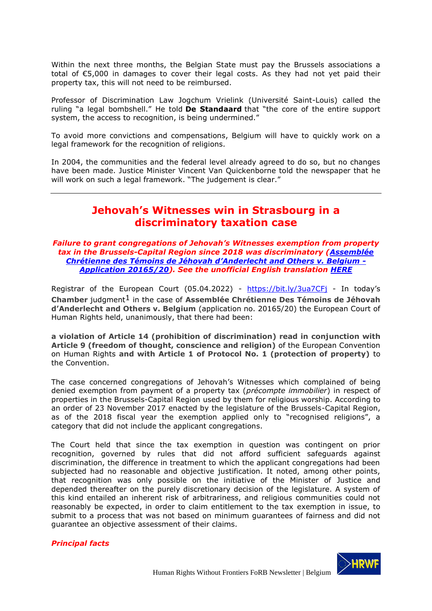Within the next three months, the Belgian State must pay the Brussels associations a total of €5,000 in damages to cover their legal costs. As they had not yet paid their property tax, this will not need to be reimbursed.

Professor of Discrimination Law Jogchum Vrielink (Université Saint-Louis) called the ruling "a legal bombshell." He told **[De Standaard](https://www.standaard.be/cnt/dmf20220406_94438876)** that "the core of the entire support system, the access to recognition, is being undermined."

To avoid more convictions and compensations, Belgium will have to quickly work on a legal framework for the recognition of religions.

<span id="page-15-0"></span>In 2004, the communities and the federal level already agreed to do so, but no changes have been made. Justice Minister Vincent Van Quickenborne told the newspaper that he will work on such a legal framework. "The judgement is clear."

# **Jehovah's Witnesses win in Strasbourg in a discriminatory taxation case**

#### *Failure to grant congregations of Jehovah's Witnesses exemption from property tax in the Brussels-Capital Region since 2018 was discriminatory [\(Assemblée](https://hudoc.echr.coe.int/eng#{%22itemid%22:[%22001-216625%22]})  [Chrétienne des Témoins de Jéhovah](https://hudoc.echr.coe.int/eng#{%22itemid%22:[%22001-216625%22]}) d'Anderlecht and Others v. Belgium - [Application 20165/20\)](https://hudoc.echr.coe.int/eng#{%22itemid%22:[%22001-216625%22]}). See the unofficial English translation [HERE](https://hrwf.eu/forb/our-advocacy-papers/)*

Registrar of the European Court (05.04.2022) - <https://bit.ly/3ua7CFj> - In today's **Chamber** judgment1 in the case of **Assemblée Chrétienne Des Témoins de Jéhovah d'Anderlecht and Others v. Belgium** (application no. 20165/20) the European Court of Human Rights held, unanimously, that there had been:

**a violation of Article 14 (prohibition of discrimination) read in conjunction with Article 9 (freedom of thought, conscience and religion)** of the European Convention on Human Rights **and with Article 1 of Protocol No. 1 (protection of property)** to the Convention.

The case concerned congregations of Jehovah's Witnesses which complained of being denied exemption from payment of a property tax (*précompte immobilier*) in respect of properties in the Brussels-Capital Region used by them for religious worship. According to an order of 23 November 2017 enacted by the legislature of the Brussels-Capital Region, as of the 2018 fiscal year the exemption applied only to "recognised religions", a category that did not include the applicant congregations.

The Court held that since the tax exemption in question was contingent on prior recognition, governed by rules that did not afford sufficient safeguards against discrimination, the difference in treatment to which the applicant congregations had been subjected had no reasonable and objective justification. It noted, among other points, that recognition was only possible on the initiative of the Minister of Justice and depended thereafter on the purely discretionary decision of the legislature. A system of this kind entailed an inherent risk of arbitrariness, and religious communities could not reasonably be expected, in order to claim entitlement to the tax exemption in issue, to submit to a process that was not based on minimum guarantees of fairness and did not guarantee an objective assessment of their claims.

## *Principal facts*

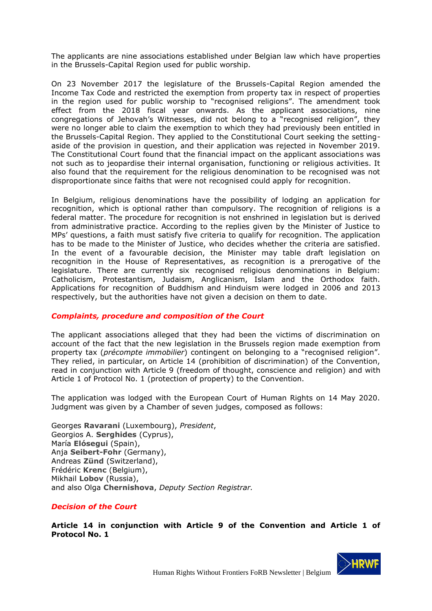The applicants are nine associations established under Belgian law which have properties in the Brussels-Capital Region used for public worship.

On 23 November 2017 the legislature of the Brussels-Capital Region amended the Income Tax Code and restricted the exemption from property tax in respect of properties in the region used for public worship to "recognised religions". The amendment took effect from the 2018 fiscal year onwards. As the applicant associations, nine congregations of Jehovah's Witnesses, did not belong to a "recognised religion", they were no longer able to claim the exemption to which they had previously been entitled in the Brussels-Capital Region. They applied to the Constitutional Court seeking the settingaside of the provision in question, and their application was rejected in November 2019. The Constitutional Court found that the financial impact on the applicant associations was not such as to jeopardise their internal organisation, functioning or religious activities. It also found that the requirement for the religious denomination to be recognised was not disproportionate since faiths that were not recognised could apply for recognition.

In Belgium, religious denominations have the possibility of lodging an application for recognition, which is optional rather than compulsory. The recognition of religions is a federal matter. The procedure for recognition is not enshrined in legislation but is derived from administrative practice. According to the replies given by the Minister of Justice to MPs' questions, a faith must satisfy five criteria to qualify for recognition. The application has to be made to the Minister of Justice, who decides whether the criteria are satisfied. In the event of a favourable decision, the Minister may table draft legislation on recognition in the House of Representatives, as recognition is a prerogative of the legislature. There are currently six recognised religious denominations in Belgium: Catholicism, Protestantism, Judaism, Anglicanism, Islam and the Orthodox faith. Applications for recognition of Buddhism and Hinduism were lodged in 2006 and 2013 respectively, but the authorities have not given a decision on them to date.

## *Complaints, procedure and composition of the Court*

The applicant associations alleged that they had been the victims of discrimination on account of the fact that the new legislation in the Brussels region made exemption from property tax (*précompte immobilier*) contingent on belonging to a "recognised religion". They relied, in particular, on Article 14 (prohibition of discrimination) of the Convention, read in conjunction with Article 9 (freedom of thought, conscience and religion) and with Article 1 of Protocol No. 1 (protection of property) to the Convention.

The application was lodged with the European Court of Human Rights on 14 May 2020. Judgment was given by a Chamber of seven judges, composed as follows:

Georges **Ravarani** (Luxembourg), *President*, Georgios A. **Serghides** (Cyprus), María **Elósegui** (Spain), Anja **Seibert-Fohr** (Germany), Andreas **Zünd** (Switzerland), Frédéric **Krenc** (Belgium), Mikhail **Lobov** (Russia), and also Olga **Chernishova**, *Deputy Section Registrar.* 

## *Decision of the Court*

**Article 14 in conjunction with Article 9 of the Convention and Article 1 of Protocol No. 1** 

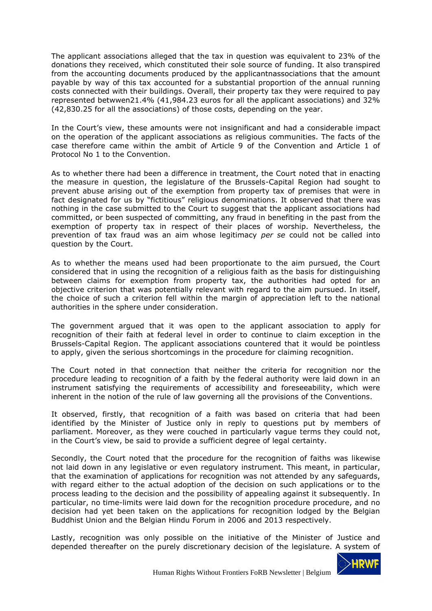The applicant associations alleged that the tax in question was equivalent to 23% of the donations they received, which constituted their sole source of funding. It also transpired from the accounting documents produced by the applicantnassociations that the amount payable by way of this tax accounted for a substantial proportion of the annual running costs connected with their buildings. Overall, their property tax they were required to pay represented betwwen21.4% (41,984.23 euros for all the applicant associations) and 32% (42,830.25 for all the associations) of those costs, depending on the year.

In the Court's view, these amounts were not insignificant and had a considerable impact on the operation of the applicant associations as religious communities. The facts of the case therefore came within the ambit of Article 9 of the Convention and Article 1 of Protocol No 1 to the Convention.

As to whether there had been a difference in treatment, the Court noted that in enacting the measure in question, the legislature of the Brussels-Capital Region had sought to prevent abuse arising out of the exemption from property tax of premises that were in fact designated for us by "fictitious" religious denominations. It observed that there was nothing in the case submitted to the Court to suggest that the applicant associations had committed, or been suspected of committing, any fraud in benefiting in the past from the exemption of property tax in respect of their places of worship. Nevertheless, the prevention of tax fraud was an aim whose legitimacy *per se* could not be called into question by the Court.

As to whether the means used had been proportionate to the aim pursued, the Court considered that in using the recognition of a religious faith as the basis for distinguishing between claims for exemption from property tax, the authorities had opted for an objective criterion that was potentially relevant with regard to the aim pursued. In itself, the choice of such a criterion fell within the margin of appreciation left to the national authorities in the sphere under consideration.

The government argued that it was open to the applicant association to apply for recognition of their faith at federal level in order to continue to claim exception in the Brussels-Capital Region. The applicant associations countered that it would be pointless to apply, given the serious shortcomings in the procedure for claiming recognition.

The Court noted in that connection that neither the criteria for recognition nor the procedure leading to recognition of a faith by the federal authority were laid down in an instrument satisfying the requirements of accessibility and foreseeability, which were inherent in the notion of the rule of law governing all the provisions of the Conventions.

It observed, firstly, that recognition of a faith was based on criteria that had been identified by the Minister of Justice only in reply to questions put by members of parliament. Moreover, as they were couched in particularly vague terms they could not, in the Court's view, be said to provide a sufficient degree of legal certainty.

Secondly, the Court noted that the procedure for the recognition of faiths was likewise not laid down in any legislative or even regulatory instrument. This meant, in particular, that the examination of applications for recognition was not attended by any safeguards, with regard either to the actual adoption of the decision on such applications or to the process leading to the decision and the possibility of appealing against it subsequently. In particular, no time-limits were laid down for the recognition procedure procedure, and no decision had yet been taken on the applications for recognition lodged by the Belgian Buddhist Union and the Belgian Hindu Forum in 2006 and 2013 respectively.

Lastly, recognition was only possible on the initiative of the Minister of Justice and depended thereafter on the purely discretionary decision of the legislature. A system of